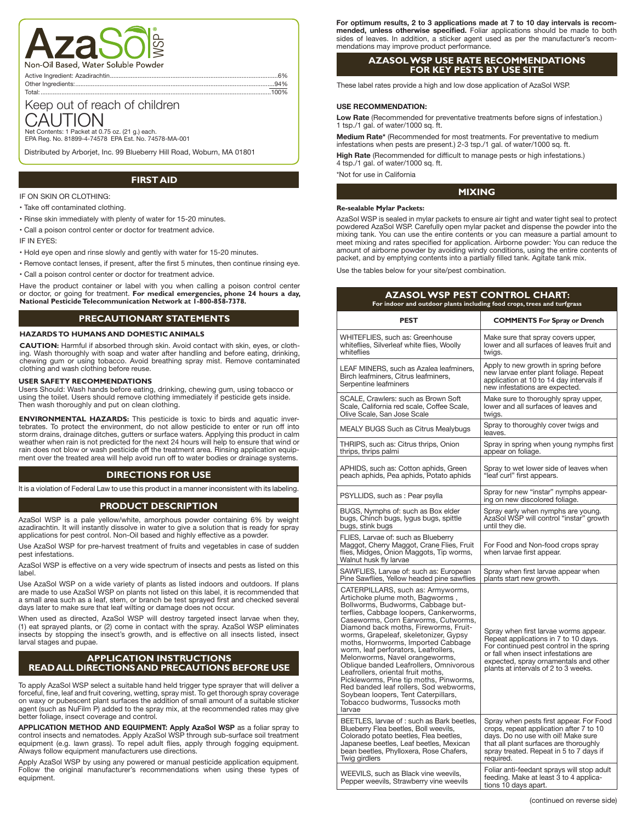

Other Ingredients:.

# Keep out of reach of children CAUTION

Net Contents: 1 Packet at 0.75 oz. (21 g.) each. EPA Reg. No. 81899-4-74578 EPA Est. No. 74578-MA-001

Distributed by Arborjet, Inc. 99 Blueberry Hill Road, Woburn, MA 01801

## **FIRST AID**

#### IF ON SKIN OR CLOTHING:

- Take off contaminated clothing.
- Rinse skin immediately with plenty of water for 15-20 minutes.
- Call a poison control center or doctor for treatment advice.

IF IN EYES:

- Hold eye open and rinse slowly and gently with water for 15-20 minutes.
- Remove contact lenses, if present, after the first 5 minutes, then continue rinsing eye. • Call a poison control center or doctor for treatment advice.

Have the product container or label with you when calling a poison control center or doctor, or going for treatment. **For medical emergencies, phone 24 hours a day, National Pesticide Telecommunication Network at 1-800-858-7378.**

# **PRECAUTIONARY STATEMENTS**

#### **HAZARDS TO HUMANS AND DOMESTIC ANIMALS**

**CAUTION:** Harmful if absorbed through skin. Avoid contact with skin, eyes, or clothing. Wash thoroughly with soap and water after handling and before eating, drinking, chewing gum or using tobacco. Avoid breathing spray mist. Remove contaminated clothing and wash clothing before reuse.

#### **USER SAFETY RECOMMENDATIONS**

Users Should: Wash hands before eating, drinking, chewing gum, using tobacco or using the toilet. Users should remove clothing immediately if pesticide gets inside. Then wash thoroughly and put on clean clothing.

**ENVIRONMENTAL HAZARDS:** This pesticide is toxic to birds and aquatic invertebrates. To protect the environment, do not allow pesticide to enter or run off into storm drains, drainage ditches, gutters or surface waters. Applying this product in calm weather when rain is not predicted for the next 24 hours will help to ensure that wind or rain does not blow or wash pesticide off the treatment area. Rinsing application equipment over the treated area will help avoid run off to water bodies or drainage systems.

## **DIRECTIONS FOR USE**

It is a violation of Federal Law to use this product in a manner inconsistent with its labeling.

## **PRODUCT DESCRIPTION**

AzaSol WSP is a pale yellow/white, amorphous powder containing 6% by weight azadirachtin. It will instantly dissolve in water to give a solution that is ready for spray applications for pest control. Non-Oil based and highly effective as a powder.

Use AzaSol WSP for pre-harvest treatment of fruits and vegetables in case of sudden pest infestations.

AzaSol WSP is effective on a very wide spectrum of insects and pests as listed on this label.

Use AzaSol WSP on a wide variety of plants as listed indoors and outdoors. If plans are made to use AzaSol WSP on plants not listed on this label, it is recommended that a small area such as a leaf, stem, or branch be test sprayed first and checked several days later to make sure that leaf wilting or damage does not occur.

When used as directed, AzaSol WSP will destroy targeted insect larvae when they, (1) eat sprayed plants, or (2) come in contact with the spray. AzaSol WSP eliminates insects by stopping the insect's growth, and is effective on all insects listed, insect larval stages and pupae.

## **APPLICATION INSTRUCTIONS READ ALL DIRECTIONS AND PRECAUTIONS BEFORE USE**

To apply AzaSol WSP select a suitable hand held trigger type sprayer that will deliver a forceful, fine, leaf and fruit covering, wetting, spray mist. To get thorough spray coverage on waxy or pubescent plant surfaces the addition of small amount of a suitable sticker agent (such as NuFilm P) added to the spray mix, at the recommended rates may give better foliage, insect coverage and control.

**APPLICATION METHOD AND EQUIPMENT: Apply AzaSol WSP** as a foliar spray to<br>control insects and nematodes. Apply AzaSol WSP through sub-surface soil treatment<br>equipment (e.g. lawn grass). To repel adult flies, apply through Always follow equipment manufacturers use directions.

Apply AzaSol WSP by using any powered or manual pesticide application equipment. Follow the original manufacturer's recommendations when using these types of equipment.

**For optimum results, 2 to 3 applications made at 7 to 10 day intervals is recom**mended, unless otherwise specified. Foliar applications should be made to both sides of leaves. In addition, a sticker agent used as per the manufacturer's recommendations may improve product performance.

### **AZASOL WSP USE RATE RECOMMENDATIONS FOR KEY PESTS BY USE SITE**

These label rates provide a high and low dose application of AzaSol WSP.

#### **USE RECOMMENDATION:**

**Low Rate** (Recommended for preventative treatments before signs of infestation.) 1 tsp./1 gal. of water/1000 sq. ft.

**Medium Rate\*** (Recommended for most treatments. For preventative to medium infestations when pests are present.) 2-3 tsp./1 gal. of water/1000 sq. ft.

**High Rate** (Recommended for difficult to manage pests or high infestations.) 4 tsp./1 gal. of water/1000 sq. ft.

\*Not for use in California

#### **MIXING**

#### **Re-sealable Mylar Packets:**

AzaSol WSP is sealed in mylar packets to ensure air tight and water tight seal to protect powdered AzaSol WSP. Carefully open mylar packet and dispense the powder into the mixing tank. You can use the entire contents or you can measure a partial amount to meet mixing and rates specified for application. Airborne powder: You can reduce the amount of airborne powder by avoiding windy conditions, using the entire contents of packet, and by emptying contents into a partially filled tank. Agitate tank mix.

Use the tables below for your site/pest combination.

| AZASOL WSP PEST CONTROL CHART:<br>For indoor and outdoor plants including food crops, trees and turfgrass                                                                                                                                                                                                                                                                                                                                                                                                                                                                                                                                             |                                                                                                                                                                                                                                                    |  |  |
|-------------------------------------------------------------------------------------------------------------------------------------------------------------------------------------------------------------------------------------------------------------------------------------------------------------------------------------------------------------------------------------------------------------------------------------------------------------------------------------------------------------------------------------------------------------------------------------------------------------------------------------------------------|----------------------------------------------------------------------------------------------------------------------------------------------------------------------------------------------------------------------------------------------------|--|--|
| <b>PEST</b>                                                                                                                                                                                                                                                                                                                                                                                                                                                                                                                                                                                                                                           | <b>COMMENTS For Spray or Drench</b>                                                                                                                                                                                                                |  |  |
| WHITEFLIES, such as: Greenhouse<br>whiteflies, Silverleaf white flies, Woolly<br>whiteflies                                                                                                                                                                                                                                                                                                                                                                                                                                                                                                                                                           | Make sure that spray covers upper,<br>lower and all surfaces of leaves fruit and<br>twigs.                                                                                                                                                         |  |  |
| LEAF MINERS, such as Azalea leafminers,<br>Birch leafminers, Citrus leafminers,<br>Serpentine leafminers                                                                                                                                                                                                                                                                                                                                                                                                                                                                                                                                              | Apply to new growth in spring before<br>new larvae enter plant foliage. Repeat<br>application at 10 to 14 day intervals if<br>new infestations are expected.                                                                                       |  |  |
| SCALE, Crawlers: such as Brown Soft<br>Scale, California red scale, Coffee Scale,<br>Olive Scale, San Jose Scale                                                                                                                                                                                                                                                                                                                                                                                                                                                                                                                                      | Make sure to thoroughly spray upper,<br>lower and all surfaces of leaves and<br>twigs.                                                                                                                                                             |  |  |
| MEALY BUGS Such as Citrus Mealybugs                                                                                                                                                                                                                                                                                                                                                                                                                                                                                                                                                                                                                   | Spray to thoroughly cover twigs and<br>leaves.                                                                                                                                                                                                     |  |  |
| THRIPS, such as: Citrus thrips, Onion<br>thrips, thrips palmi                                                                                                                                                                                                                                                                                                                                                                                                                                                                                                                                                                                         | Spray in spring when young nymphs first<br>appear on foliage.                                                                                                                                                                                      |  |  |
| APHIDS, such as: Cotton aphids, Green<br>peach aphids, Pea aphids, Potato aphids                                                                                                                                                                                                                                                                                                                                                                                                                                                                                                                                                                      | Spray to wet lower side of leaves when<br>"leaf curl" first appears.                                                                                                                                                                               |  |  |
| PSYLLIDS, such as : Pear psylla                                                                                                                                                                                                                                                                                                                                                                                                                                                                                                                                                                                                                       | Spray for new "instar" nymphs appear-<br>ing on new discolored foliage.                                                                                                                                                                            |  |  |
| BUGS, Nymphs of: such as Box elder<br>bugs, Chinch bugs, lygus bugs, spittle<br>bugs, stink bugs                                                                                                                                                                                                                                                                                                                                                                                                                                                                                                                                                      | Spray early when nymphs are young.<br>AzaSol WSP will control "instar" growth<br>until they die.                                                                                                                                                   |  |  |
| FLIES, Larvae of: such as Blueberry<br>Maggot, Cherry Maggot, Crane Flies, Fruit<br>flies, Midges, Onion Maggots, Tip worms,<br>Walnut husk fly larvae                                                                                                                                                                                                                                                                                                                                                                                                                                                                                                | For Food and Non-food crops spray<br>when larvae first appear.                                                                                                                                                                                     |  |  |
| SAWFLIES, Larvae of: such as: European<br>Pine Sawflies, Yellow headed pine sawflies                                                                                                                                                                                                                                                                                                                                                                                                                                                                                                                                                                  | Spray when first larvae appear when<br>plants start new growth.                                                                                                                                                                                    |  |  |
| CATERPILLARS, such as: Armyworms,<br>Artichoke plume moth, Bagworms,<br>Bollworms, Budworms, Cabbage but-<br>terflies, Cabbage loopers, Cankerworms,<br>Caseworms, Corn Earworms, Cutworms,<br>Diamond back moths, Fireworms, Fruit-<br>worms, Grapeleaf, skeletonizer, Gypsy<br>moths, Hornworms, Imported Cabbage<br>worm, leaf perforators, Leafrollers,<br>Melonworms, Navel orangeworms,<br>Oblique banded Leafrollers, Omnivorous<br>Leafrollers, oriental fruit moths,<br>Pickleworms, Pine tip moths, Pinworms,<br>Red banded leaf rollers, Sod webworms,<br>Soybean loopers, Tent Caterpillars,<br>Tobacco budworms, Tussocks moth<br>larvae | Spray when first larvae worms appear.<br>Repeat applications in 7 to 10 days.<br>For continued pest control in the spring<br>or fall when insect infestations are<br>expected, spray ornamentals and other<br>plants at intervals of 2 to 3 weeks. |  |  |
| BEETLES, larvae of : such as Bark beetles,<br>Blueberry Flea beetles, Boll weevils,<br>Colorado potato beetles, Flea beetles,<br>Japanese beetles, Leaf beetles, Mexican<br>bean beetles, Phylloxera, Rose Chafers,<br>Twig girdlers                                                                                                                                                                                                                                                                                                                                                                                                                  | Spray when pests first appear. For Food<br>crops, repeat application after 7 to 10<br>days. Do no use with oil! Make sure<br>that all plant surfaces are thoroughly<br>spray treated. Repeat in 5 to 7 days if<br>required.                        |  |  |
| WEEVILS, such as Black vine weevils,<br>Pepper weevils, Strawberry vine weevils                                                                                                                                                                                                                                                                                                                                                                                                                                                                                                                                                                       | Foliar anti-feedant sprays will stop adult<br>feeding. Make at least 3 to 4 applica-<br>tions 10 days apart.                                                                                                                                       |  |  |

Total:.....................................................................................................................................100%